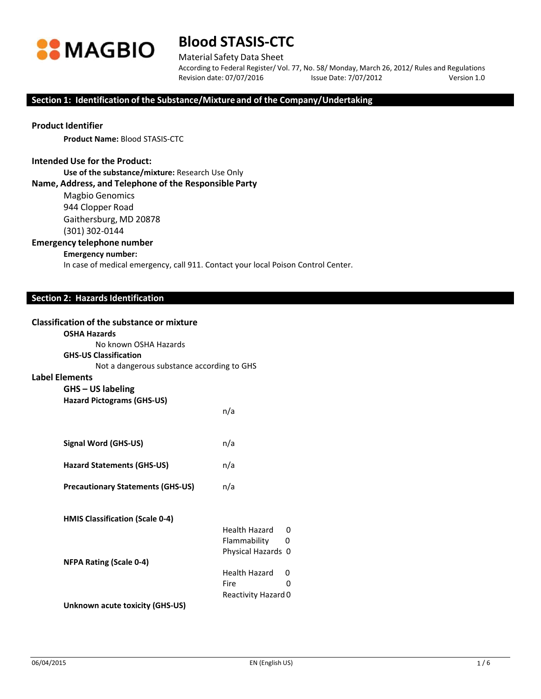

# **Blood STASIS‐CTC**

### Material Safety Data Sheet

According to Federal Register/ Vol. 77, No. 58/ Monday, March 26, 2012/ Rules and Regulations Revision date: 07/07/2016 Issue Date: 7/07/2012 Version 1.0

#### **Section 1: Identification of the Substance/Mixture and of the Company/Undertaking**

## **Product Identifier**

**Product Name:** Blood STASIS-CTC

### **Intended Use for the Product:**

**Use of the substance/mixture:** Research Use Only

#### **Name, Address, and Telephone of the Responsible Party**

Magbio Genomics 944 Clopper Road Gaithersburg, MD 20878

(301) 302‐0144

### **Emergency telephone number**

### **Emergency number:**

In case of medical emergency, call 911. Contact your local Poison Control Center.

### **Section 2: Hazards Identification**

#### **Classification of the substance or mixture**

## **OSHA Hazards**

**Label Elements**

| No known OSHA Hazards                      |     |
|--------------------------------------------|-----|
| <b>GHS-US Classification</b>               |     |
| Not a dangerous substance according to GHS |     |
| <b>Elements</b>                            |     |
| $G$ HS – US labeling                       |     |
| <b>Hazard Pictograms (GHS-US)</b>          |     |
|                                            | n/a |

| <b>Signal Word (GHS-US)</b> | n/a |
|-----------------------------|-----|
|                             |     |

**Hazard Statements (GHS‐US)** n/a

**Precautionary Statements (GHS‐US)** n/a

**HMIS Classification (Scale 0‐4)**

|                                | Health Hazard 0     |              |
|--------------------------------|---------------------|--------------|
|                                | Flammability        | 0            |
|                                | Physical Hazards 0  |              |
| <b>NFPA Rating (Scale 0-4)</b> |                     |              |
|                                | Health Hazard       | $\mathbf{0}$ |
|                                | Fire                | ი            |
|                                | Reactivity Hazard 0 |              |
|                                |                     |              |

**Unknown acute toxicity (GHS‐US)**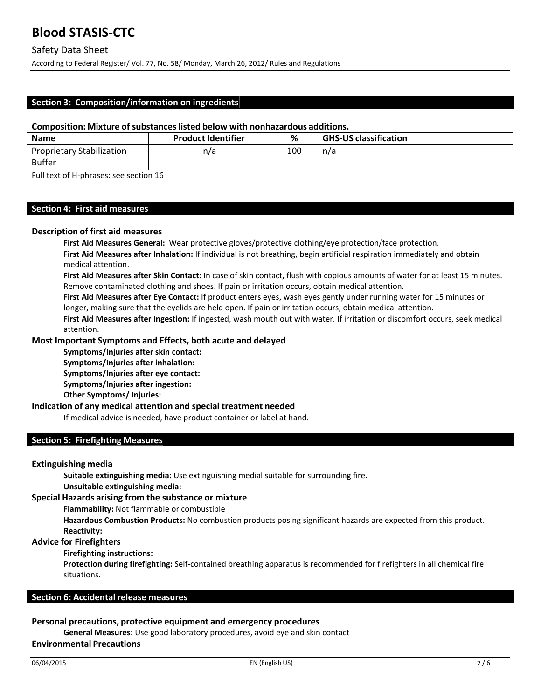According to Federal Register/ Vol. 77, No. 58/ Monday, March 26, 2012/ Rules and Regulations

## **Section 3: Composition/information on ingredients**

### **Composition: Mixture of substanceslisted below with nonhazardous additions.**

| <b>Name</b>               | <b>Product Identifier</b> | ℅   | <b>GHS-US classification</b> |
|---------------------------|---------------------------|-----|------------------------------|
| Proprietary Stabilization | n/a                       | 100 | n/a                          |
| <b>Buffer</b>             |                           |     |                              |

Full text of H‐phrases: see section 16

## **Section 4: First aid measures**

#### **Description of first aid measures**

**First Aid Measures General:** Wear protective gloves/protective clothing/eye protection/face protection. **First Aid Measures after Inhalation:** If individual is not breathing, begin artificial respiration immediately and obtain medical attention.

**First Aid Measures after Skin Contact:** In case of skin contact, flush with copious amounts of water for at least 15 minutes. Remove contaminated clothing and shoes. If pain or irritation occurs, obtain medical attention.

**First Aid Measures after Eye Contact:** If product enters eyes, wash eyes gently under running water for 15 minutes or longer, making sure that the eyelids are held open. If pain or irritation occurs, obtain medical attention.

**First Aid Measures after Ingestion:** If ingested, wash mouth out with water. If irritation or discomfort occurs, seek medical attention.

### **Most Important Symptoms and Effects, both acute and delayed**

**Symptoms/Injuries after skin contact:** 

**Symptoms/Injuries after inhalation: Symptoms/Injuries after eye contact:** 

**Symptoms/Injuries after ingestion:** 

**Other Symptoms/ Injuries:**

### **Indication of any medical attention and special treatment needed**

If medical advice is needed, have product container or label at hand.

### **Section 5: Firefighting Measures**

#### **Extinguishing media**

**Suitable extinguishing media:** Use extinguishing medial suitable for surrounding fire. **Unsuitable extinguishing media:**

#### **Special Hazards arising from the substance or mixture**

**Flammability:** Not flammable or combustible

**Hazardous Combustion Products:** No combustion products posing significant hazards are expected from this product. **Reactivity:**

#### **Advice for Firefighters**

**Firefighting instructions:**

**Protection during firefighting:** Self‐contained breathing apparatus is recommended for firefighters in all chemical fire situations.

#### **Section 6: Accidental release measures**

#### **Personal precautions, protective equipment and emergency procedures**

**General Measures:** Use good laboratory procedures, avoid eye and skin contact

#### **Environmental Precautions**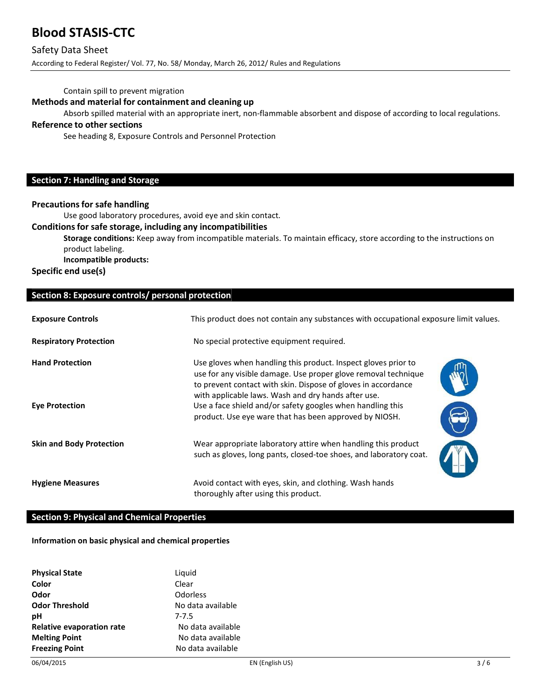## **Blood STASIS‐CTC**

## Safety Data Sheet

According to Federal Register/ Vol. 77, No. 58/ Monday, March 26, 2012/ Rules and Regulations

Contain spill to prevent migration

## **Methods and material for containment and cleaning up**

Absorb spilled material with an appropriate inert, non-flammable absorbent and dispose of according to local regulations.

## **Reference to other sections**

See heading 8, Exposure Controls and Personnel Protection

## **Section 7: Handling and Storage**

## **Precautions for safe handling**

Use good laboratory procedures, avoid eye and skin contact.

#### **Conditionsfor safe storage, including any incompatibilities**

**Storage conditions:** Keep away from incompatible materials. To maintain efficacy, store according to the instructions on product labeling. **Incompatible products:**

**Specific end use(s)**

### **Section 8: Exposure controls/ personal protection**

| <b>Exposure Controls</b>                        | This product does not contain any substances with occupational exposure limit values.                                                                                                                                                                                                                                                                                            |  |
|-------------------------------------------------|----------------------------------------------------------------------------------------------------------------------------------------------------------------------------------------------------------------------------------------------------------------------------------------------------------------------------------------------------------------------------------|--|
| <b>Respiratory Protection</b>                   | No special protective equipment required.                                                                                                                                                                                                                                                                                                                                        |  |
| <b>Hand Protection</b><br><b>Eye Protection</b> | Use gloves when handling this product. Inspect gloves prior to<br>use for any visible damage. Use proper glove removal technique<br>to prevent contact with skin. Dispose of gloves in accordance<br>with applicable laws. Wash and dry hands after use.<br>Use a face shield and/or safety googles when handling this<br>product. Use eye ware that has been approved by NIOSH. |  |
| <b>Skin and Body Protection</b>                 | Wear appropriate laboratory attire when handling this product<br>such as gloves, long pants, closed-toe shoes, and laboratory coat.                                                                                                                                                                                                                                              |  |
| <b>Hygiene Measures</b>                         | Avoid contact with eyes, skin, and clothing. Wash hands<br>thoroughly after using this product.                                                                                                                                                                                                                                                                                  |  |

## **Section 9: Physical and Chemical Properties**

#### **Information on basic physical and chemical properties**

| <b>Physical State</b>            | Liguid            |
|----------------------------------|-------------------|
| Color                            | Clear             |
| Odor                             | Odorless          |
| <b>Odor Threshold</b>            | No data available |
| рH                               | $7 - 7.5$         |
| <b>Relative evaporation rate</b> | No data available |
| <b>Melting Point</b>             | No data available |
| <b>Freezing Point</b>            | No data available |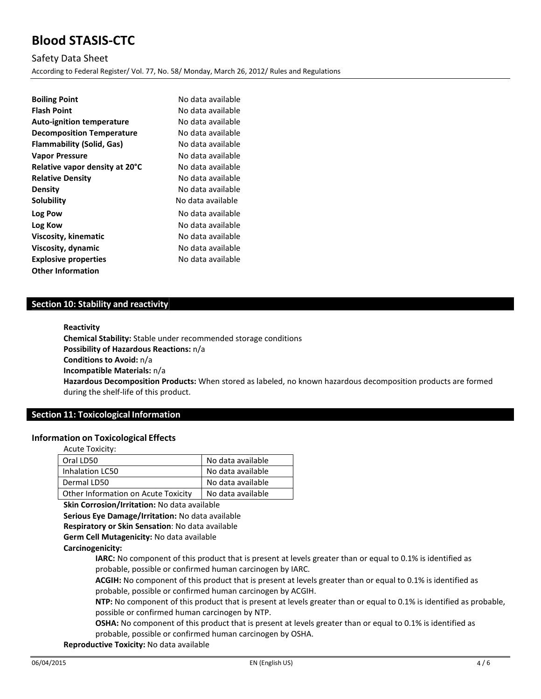# **Blood STASIS-CTC**

Safety Data Sheet According to Federal Register/ Vol. 77, No. 58/ Monday, March 26, 2012/ Rules and Regulations

| <b>Boiling Point</b>             | No data available |
|----------------------------------|-------------------|
| <b>Flash Point</b>               | No data available |
| <b>Auto-ignition temperature</b> | No data available |
| <b>Decomposition Temperature</b> | No data available |
| Flammability (Solid, Gas)        | No data available |
| <b>Vapor Pressure</b>            | No data available |
| Relative vapor density at 20°C   | No data available |
| <b>Relative Density</b>          | No data available |
| <b>Density</b>                   | No data available |
| <b>Solubility</b>                | No data available |
| Log Pow                          | No data available |
| Log Kow                          | No data available |
| Viscosity, kinematic             | No data available |
| Viscosity, dynamic               | No data available |
| <b>Explosive properties</b>      | No data available |
| <b>Other Information</b>         |                   |

## **Section 10: Stability and reactivity**

#### **Reactivity**

**Chemical Stability:** Stable under recommended storage conditions **Possibility of Hazardous Reactions:** n/a **Conditions to Avoid:** n/a **Incompatible Materials:** n/a **Hazardous Decomposition Products:** When stored as labeled, no known hazardous decomposition products are formed during the shelf‐life of this product.

## **Section 11: Toxicological Information**

#### **Information on Toxicological Effects**

| Acute Toxicity:                     |                   |
|-------------------------------------|-------------------|
| Oral LD50                           | No data available |
| Inhalation LC50                     | No data available |
| Dermal LD50                         | No data available |
| Other Information on Acute Toxicity | No data available |

**Skin Corrosion/Irritation:** No data available

**Serious Eye Damage/Irritation:** No data available

**Respiratory or Skin Sensation**: No data available

**Germ Cell Mutagenicity:** No data available

**Carcinogenicity:**

**IARC:** No component of this product that is present at levels greater than or equal to 0.1% is identified as probable, possible or confirmed human carcinogen by IARC.

**ACGIH:** No component of this product that is present at levels greater than or equal to 0.1% is identified as probable, possible or confirmed human carcinogen by ACGIH.

**NTP:** No component of this product that is present at levels greater than or equal to 0.1% is identified as probable, possible or confirmed human carcinogen by NTP.

**OSHA:** No component of this product that is present at levels greater than or equal to 0.1% is identified as probable, possible or confirmed human carcinogen by OSHA.

**Reproductive Toxicity:** No data available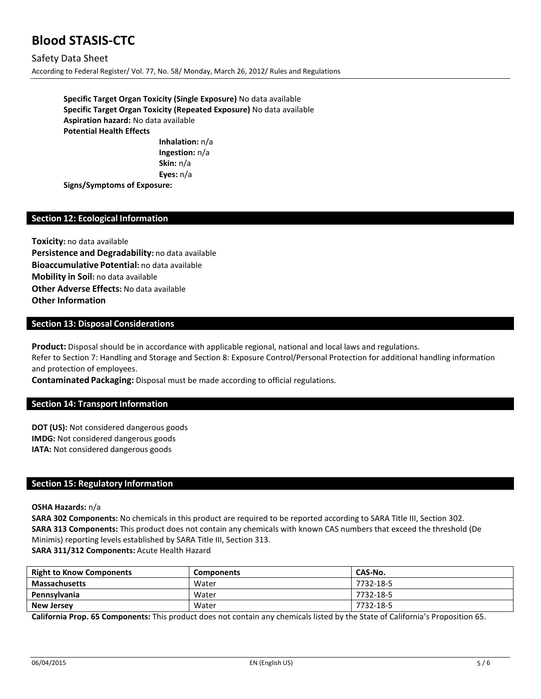## **Blood STASIS-CTC**

Safety Data Sheet According to Federal Register/ Vol. 77, No. 58/ Monday, March 26, 2012/ Rules and Regulations

> **Specific Target Organ Toxicity (Single Exposure)** No data available **Specific Target Organ Toxicity (Repeated Exposure)** No data available **Aspiration hazard:** No data available **Potential Health Effects**

**Inhalation:** n/a **Ingestion:** n/a **Skin:** n/a **Eyes:** n/a

**Signs/Symptoms of Exposure:**

## **Section 12: Ecological Information**

**Toxicity:** no data available **Persistence and Degradability:** no data available **Bioaccumulative Potential:** no data available **Mobility in Soil:** no data available **Other Adverse Effects:** No data available **Other Information**

### **Section 13: Disposal Considerations**

**Product:** Disposal should be in accordance with applicable regional, national and local laws and regulations. Refer to Section 7: Handling and Storage and Section 8: Exposure Control/Personal Protection for additional handling information and protection of employees.

**Contaminated Packaging:** Disposal must be made according to official regulations.

### **Section 14: Transport Information**

**DOT (US):** Not considered dangerous goods **IMDG:** Not considered dangerous goods **IATA:** Not considered dangerous goods

#### **Section 15: Regulatory Information**

**OSHA Hazards:** n/a

**SARA 302 Components:** No chemicals in this product are required to be reported according to SARA Title III, Section 302. **SARA 313 Components:** This product does not contain any chemicals with known CAS numbers that exceed the threshold (De Minimis) reporting levels established by SARA Title III, Section 313. **SARA 311/312 Components:** Acute Health Hazard

| <b>Right to Know Components</b> | <b>Components</b> | CAS-No.   |
|---------------------------------|-------------------|-----------|
| <b>Massachusetts</b>            | Water             | 7732-18-5 |
| Pennsylvania                    | Water             | 7732-18-5 |
| <b>New Jersey</b>               | Water             | 7732-18-5 |

**California Prop. 65 Components:** This product does not contain any chemicals listed by the State of California's Proposition 65.